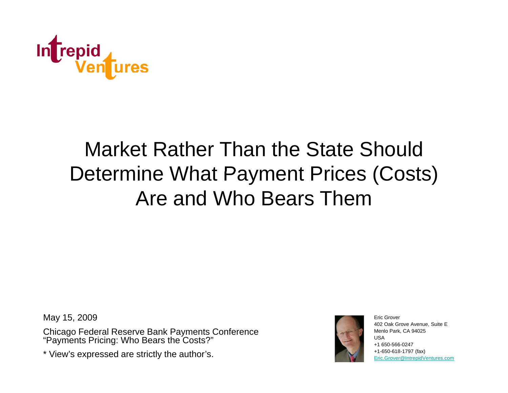

# Market Rather Than the State Should Determine What Payment Prices (Costs) (Costs) Are and Who Bears Them

May 15, 2009 **Exits** Structure 1. The Structure of the Structure of the Structure of the Eric Grover

Chicago Federal Reserve Bank Payments Conference "Payments Pricing: Who Bears the Costs?"

\* View's expressed are strictly the author's.



402 Oak Grove Avenue, Suite E Menlo Park, CA 94025 USA+1 650-566-0247+1-650-618-1797 (fax) Eric.Grover@IntrepidVentures.com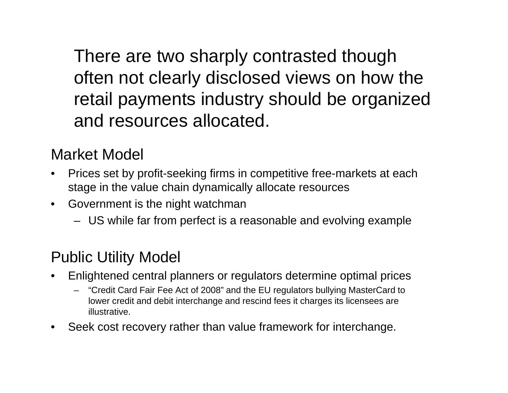There are two sharply contrasted though often not clearly disclosed views on how the retail payments industry should be organized and resources allocated.

#### Market Model

- $\bullet$  Prices set by profit-seeking firms in competitive free-markets at each •stage in the value chain dynamically allocate resources
- $\bullet$  Government is the night watchman
	- US while far from perfect is <sup>a</sup> reasonable and evolving example

#### Public Utility Model

- $\bullet$  Enlightened central planners or regulators determine optimal prices
	- "Credit Card Fair Fee Act of 2008" and the EU regulators bullying MasterCard to lower credit and debit interchange and rescind fees it charges its licensees are illustrative.
- •Seek cost recovery rather than value framework for interchange.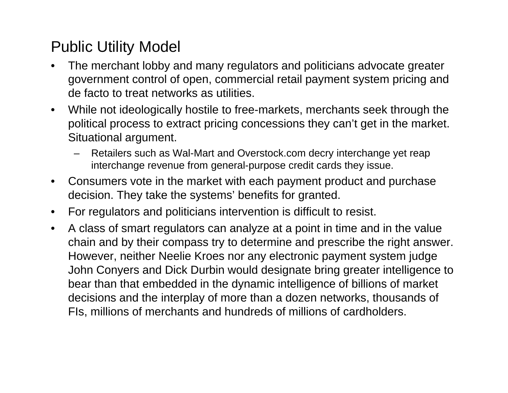#### Public Utility Model

- • The merchant lobby and many regulators and politicians advocate greater government control of open, commercial retail payment system pricing and de facto to treat networks as utilities.
- $\bullet$  While not ideologically hostile to free-markets, merchants seek through the political process to extract pricing concessions they can't get in the market. Situational argument.
	- Retailers such as Wal-Mart and Overstock.com decry interchange yet reap interchange revenue from general-purpose credit cards they issue.
- $\bullet$  Consumers vote in the market with each payment product and purchase decision. They take the systems' benefits for granted.
- $\bullet$ For regulators and politicians intervention is difficult to resist.
- $\bullet$  A class of smart regulators can analyze at a point in time and in the value chain and by their compass try to determine and prescribe the right answer. However, neither Neelie Kroes nor any electronic payment system judge John Conyers and Dick Durbin would designate bring greater intelligence to bear than that embedded in the dynamic intelligence of billions of market decisions and the interplay of more than a dozen networks, thousands of FIs, millions of merchants and hundreds of millions of cardholders.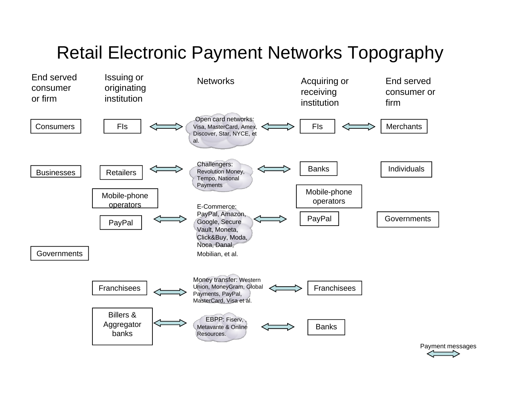## Retail Electronic Payment Networks Topography



Payment messages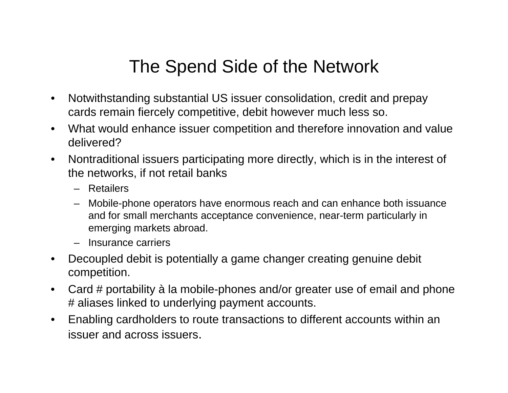### The Spend Side of the Network

- $\bullet$  Notwithstanding substantial US issuer consolidation, credit and prepay cards remain fiercely competitive, debit however much less so.
- $\bullet$  What would enhance issuer competition and therefore innovation and value delivered?
- $\bullet$  Nontraditional issuers participating more directly, which is in the interest of the networks, if not retail banks
	- Retailers
	- Mobile-phone operators have enormous reach and can enhance both issuance and for small merchants acceptance convenience, near-term particularly in emerging markets abroad.
	- Insurance carriers
- $\bullet$  Decoupled debit is potentially a game changer creating genuine debit competition.
- $\bullet$  Card # portability à la mobile-phones and/or greater use of email and phone # aliases linked to underlying payment accounts.
- $\bullet$ Enabling cardholders to route transactions to different accounts within an issuer and across issuers.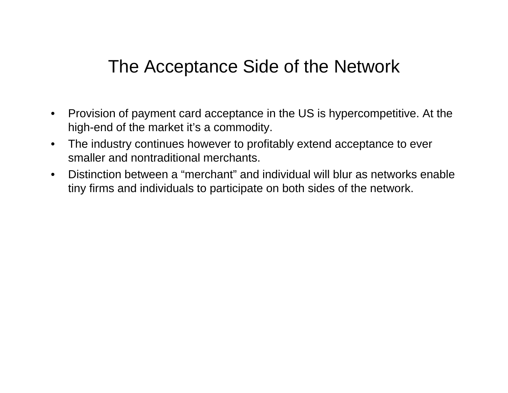#### The Acceptance Side of the Network

- $\bullet$  Provision of payment card acceptance in the US is hypercompetitive. At the high-end of the market it's a commodity.
- $\bullet$  The industry continues however to profitably extend acceptance to ever smaller and nontraditional merchants.
- $\bullet$ • Distinction between a "merchant" and individual will blur as networks enable tiny firms and individuals to participate on both sides of the network.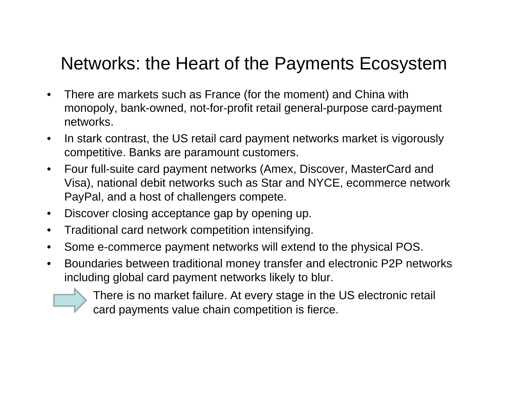### Networks: the Heart of the Payments Ecosystem

- • There are markets such as France (for the moment) and China with monopoly, bank-owned, not-for-profit retail general-purpose card-payment networks.
- • In stark contrast, the US retail card payment networks market is vigorously competitive. Banks are paramount customers.
- •Four full-suite card payment networks (Amex, Discover, MasterCard and Visa), national debit networks such as Star and NYCE, ecommerce network PayPal, and a host of challengers compete.
- $\bullet$ Discover closing acceptance gap by opening up.
- Traditional card network competition intensifying.
- $\bullet$ Some e-commerce payment networks will extend to the physical POS.
- $\bullet$  Boundaries between traditional money transfer and electronic P2P networks including global card payment networks likely to blur.

There is no market failure. At every stage in the US electronic retail card payments value chain competition is fierce.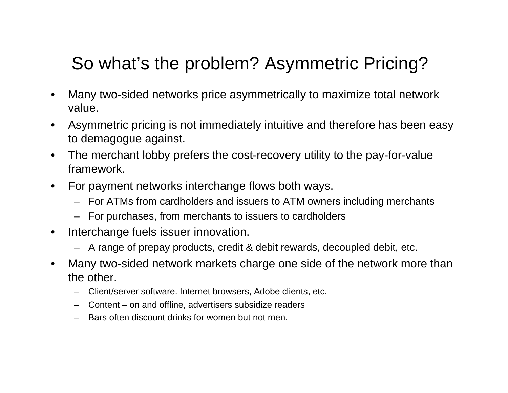## So what's the problem? Asymmetric Pricing?

- $\bullet$  Many two-sided networks price asymmetrically to maximize total network value.
- $\bullet$ • Asymmetric pricing is not immediately intuitive and therefore has been easy to demagogue against.
- $\bullet$  The merchant lobby prefers the cost-recovery utility to the pay-for-value framework.
- $\bullet$  For payment networks interchange flows both ways.
	- For ATMs from cardholders and issuers to ATM owners including merchants
	- $-$  For purchases, from merchants to issuers to cardholders
- $\bullet$  Interchange fuels issuer innovation.
	- A range of prepay products, credit & debit rewards, decoupled debit, etc.
- $\bullet$  Many two-sided network markets charge one side of the network more than the other.
	- Client/server software. Internet browsers, Adobe clients, etc.
	- Content on and offline, advertisers subsidize readers
	- Bars often discount drinks for women but not men.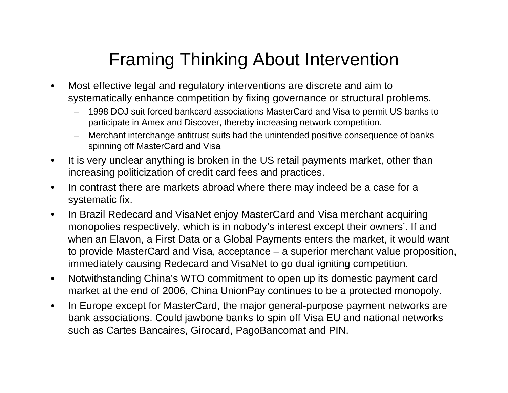## Framing Thinking About Intervention

- $\bullet$  Most effective legal and regulatory interventions are discrete and aim to systematically enhance competition by fixing governance or structural problems.
	- 1998 DOJ suit forced bankcard associations MasterCard and Visa to permit US banks to participate in Amex and Discover, thereby increasing network competition.
	- Merchant interchange antitrust suits had the unintended positive consequence of banks spinning off MasterCard and Visa
- $\bullet$  It is very unclear anything is broken in the US retail payments market, other than increasing politicization of credit card fees and practices.
- $\bullet$  In contrast there are markets abroad where there may indeed be a case for a systematic fix.
- $\bullet$  In Brazil Redecard and VisaNet enjoy MasterCard and Visa merchant acquiring monopolies respectively, which is in nobody's interest except their owners'. If and when an Elavon, a First Data or a Global Payments enters the market, it would want to provide MasterCard and Visa, acceptance – a superior merchant value proposition, immediately causing Redecard and VisaNet to go dual igniting competition.
- $\bullet$  Notwithstanding China's WTO commitment to open up its domestic payment card market at the end of 2006, China UnionPay continues to be a protected monopoly.
- • In Europe except for MasterCard, the major general-purpose payment networks are bank associations. Could jawbone banks to spin off Visa EU and national networks such as Cartes Bancaires, Girocard, PagoBancomat and PIN.